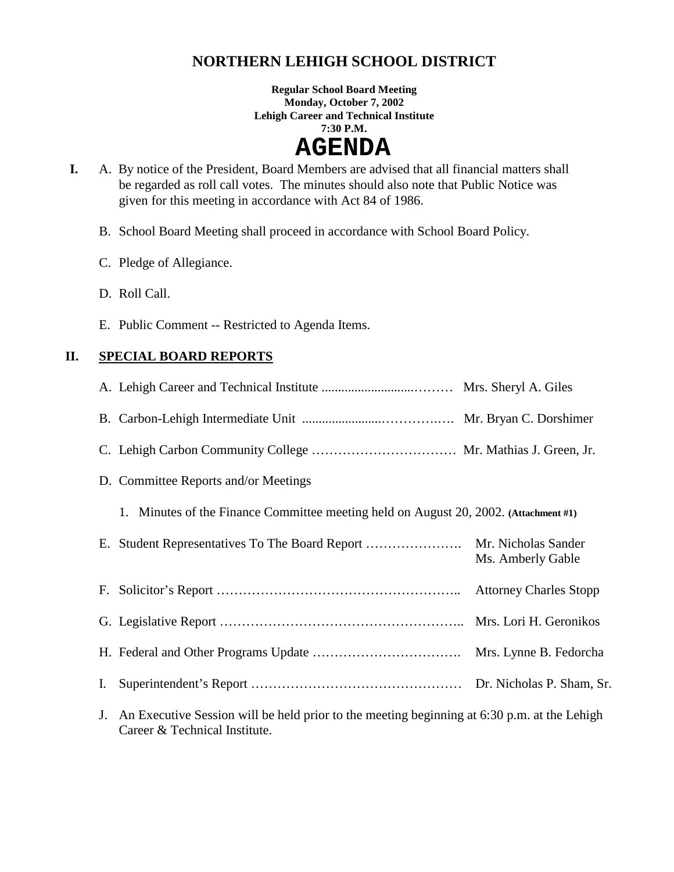## **NORTHERN LEHIGH SCHOOL DISTRICT**

**Regular School Board Meeting Monday, October 7, 2002 Lehigh Career and Technical Institute 7:30 P.M.** 

# **AGENDA**

- **I.** A. By notice of the President, Board Members are advised that all financial matters shall be regarded as roll call votes. The minutes should also note that Public Notice was given for this meeting in accordance with Act 84 of 1986.
	- B. School Board Meeting shall proceed in accordance with School Board Policy.
	- C. Pledge of Allegiance.
	- D. Roll Call.
	- E. Public Comment -- Restricted to Agenda Items.

### **II. SPECIAL BOARD REPORTS**

|    | D. Committee Reports and/or Meetings                                                                 |                   |
|----|------------------------------------------------------------------------------------------------------|-------------------|
|    | 1. Minutes of the Finance Committee meeting held on August 20, 2002. (Attachment #1)                 |                   |
|    |                                                                                                      | Ms. Amberly Gable |
|    |                                                                                                      |                   |
|    |                                                                                                      |                   |
|    |                                                                                                      |                   |
| I. |                                                                                                      |                   |
|    | An Executive Session will be held prior to the meeting beginning at $6.30 \text{ p m}$ at the Lehigh |                   |

J. An Executive Session will be held prior to the meeting beginning at 6:30 p.m. at the Lehigh Career & Technical Institute.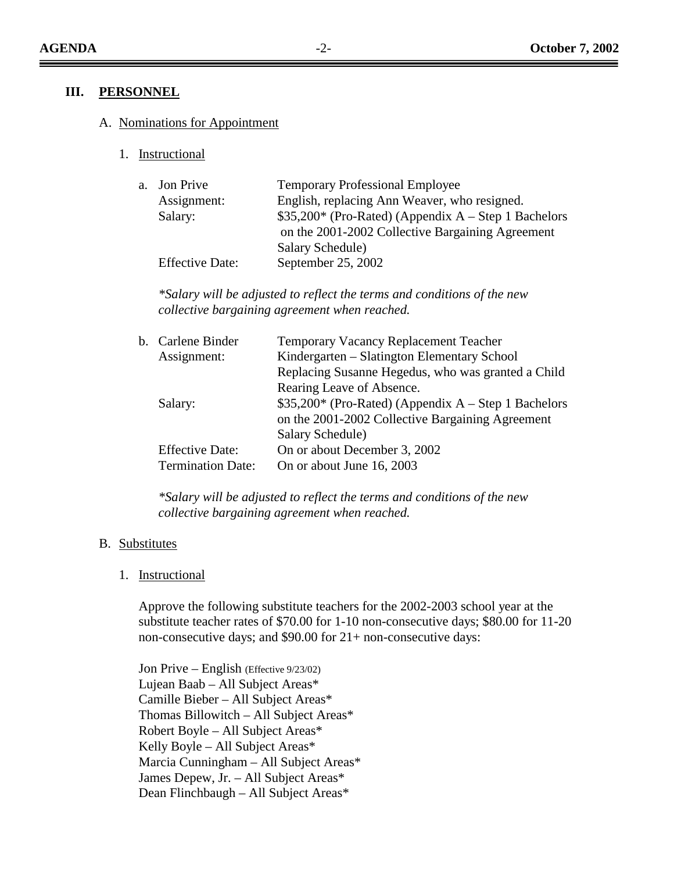#### **III. PERSONNEL**

#### A. Nominations for Appointment

1. Instructional

| a. Jon Prive           | <b>Temporary Professional Employee</b>               |
|------------------------|------------------------------------------------------|
| Assignment:            | English, replacing Ann Weaver, who resigned.         |
| Salary:                | \$35,200* (Pro-Rated) (Appendix A – Step 1 Bachelors |
|                        | on the 2001-2002 Collective Bargaining Agreement     |
|                        | Salary Schedule)                                     |
| <b>Effective Date:</b> | September 25, 2002                                   |

*\*Salary will be adjusted to reflect the terms and conditions of the new collective bargaining agreement when reached.* 

| b. Carlene Binder        | Temporary Vacancy Replacement Teacher                 |
|--------------------------|-------------------------------------------------------|
| Assignment:              | Kindergarten – Slatington Elementary School           |
|                          | Replacing Susanne Hegedus, who was granted a Child    |
|                          | Rearing Leave of Absence.                             |
| Salary:                  | $$35,200*$ (Pro-Rated) (Appendix A – Step 1 Bachelors |
|                          | on the 2001-2002 Collective Bargaining Agreement      |
|                          | Salary Schedule)                                      |
| <b>Effective Date:</b>   | On or about December 3, 2002                          |
| <b>Termination Date:</b> | On or about June 16, 2003                             |
|                          |                                                       |

*\*Salary will be adjusted to reflect the terms and conditions of the new collective bargaining agreement when reached.* 

#### B. Substitutes

1. Instructional

Approve the following substitute teachers for the 2002-2003 school year at the substitute teacher rates of \$70.00 for 1-10 non-consecutive days; \$80.00 for 11-20 non-consecutive days; and \$90.00 for 21+ non-consecutive days:

 Jon Prive – English (Effective 9/23/02) Lujean Baab – All Subject Areas\* Camille Bieber – All Subject Areas\* Thomas Billowitch – All Subject Areas\* Robert Boyle – All Subject Areas\* Kelly Boyle – All Subject Areas\* Marcia Cunningham – All Subject Areas\* James Depew, Jr. – All Subject Areas\* Dean Flinchbaugh – All Subject Areas\*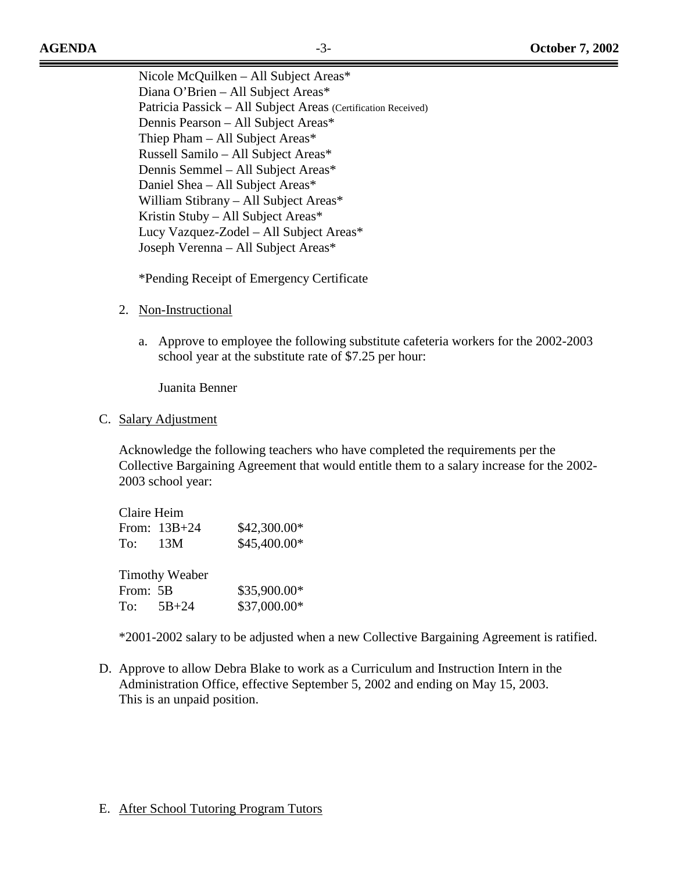Nicole McQuilken – All Subject Areas\* Diana O'Brien – All Subject Areas\* Patricia Passick – All Subject Areas (Certification Received) Dennis Pearson – All Subject Areas\* Thiep Pham – All Subject Areas\* Russell Samilo – All Subject Areas\* Dennis Semmel – All Subject Areas\* Daniel Shea – All Subject Areas\* William Stibrany – All Subject Areas\* Kristin Stuby – All Subject Areas\* Lucy Vazquez-Zodel – All Subject Areas\* Joseph Verenna – All Subject Areas\*

\*Pending Receipt of Emergency Certificate

- 2. Non-Instructional
	- a. Approve to employee the following substitute cafeteria workers for the 2002-2003 school year at the substitute rate of \$7.25 per hour:

Juanita Benner

C. Salary Adjustment

Acknowledge the following teachers who have completed the requirements per the Collective Bargaining Agreement that would entitle them to a salary increase for the 2002- 2003 school year:

|           | Claire Heim           |              |
|-----------|-----------------------|--------------|
|           | From: 13B+24          | \$42,300.00* |
|           | To: 13M               | \$45,400.00* |
|           |                       |              |
|           | <b>Timothy Weaber</b> |              |
| From: 5B  |                       | \$35,900.00* |
| To: 5B+24 |                       | \$37,000.00* |

\*2001-2002 salary to be adjusted when a new Collective Bargaining Agreement is ratified.

D. Approve to allow Debra Blake to work as a Curriculum and Instruction Intern in the Administration Office, effective September 5, 2002 and ending on May 15, 2003. This is an unpaid position.

#### E. After School Tutoring Program Tutors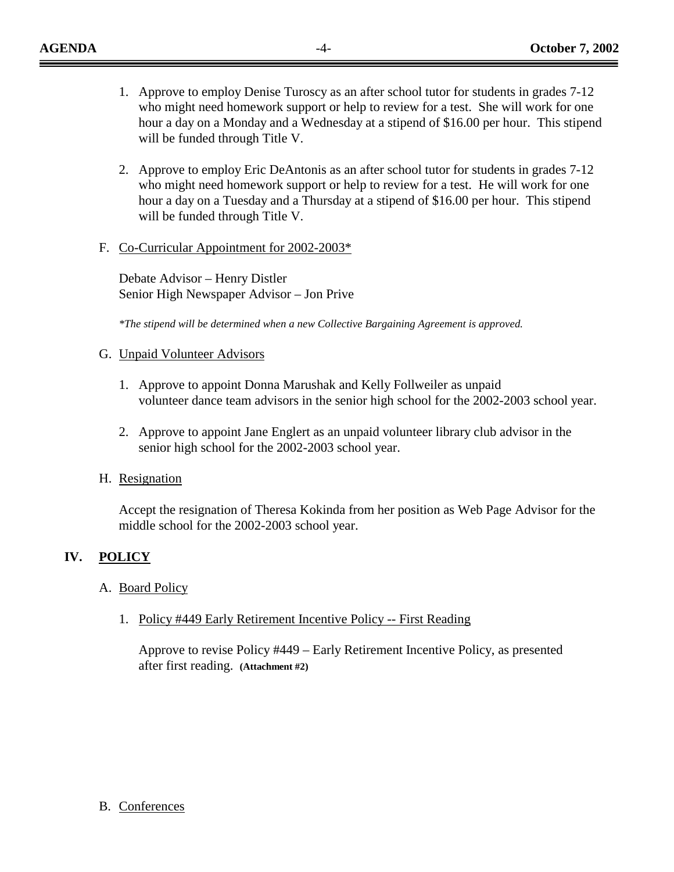- 1. Approve to employ Denise Turoscy as an after school tutor for students in grades 7-12 who might need homework support or help to review for a test. She will work for one hour a day on a Monday and a Wednesday at a stipend of \$16.00 per hour. This stipend will be funded through Title V.
- 2. Approve to employ Eric DeAntonis as an after school tutor for students in grades 7-12 who might need homework support or help to review for a test. He will work for one hour a day on a Tuesday and a Thursday at a stipend of \$16.00 per hour. This stipend will be funded through Title V.
- F. Co-Curricular Appointment for 2002-2003\*

Debate Advisor – Henry Distler Senior High Newspaper Advisor – Jon Prive

*\*The stipend will be determined when a new Collective Bargaining Agreement is approved.*

- G. Unpaid Volunteer Advisors
	- 1. Approve to appoint Donna Marushak and Kelly Follweiler as unpaid volunteer dance team advisors in the senior high school for the 2002-2003 school year.
	- 2. Approve to appoint Jane Englert as an unpaid volunteer library club advisor in the senior high school for the 2002-2003 school year.
- H. Resignation

Accept the resignation of Theresa Kokinda from her position as Web Page Advisor for the middle school for the 2002-2003 school year.

#### **IV. POLICY**

#### A. Board Policy

B. Conferences

1. Policy #449 Early Retirement Incentive Policy -- First Reading

Approve to revise Policy #449 – Early Retirement Incentive Policy, as presented after first reading. **(Attachment #2)**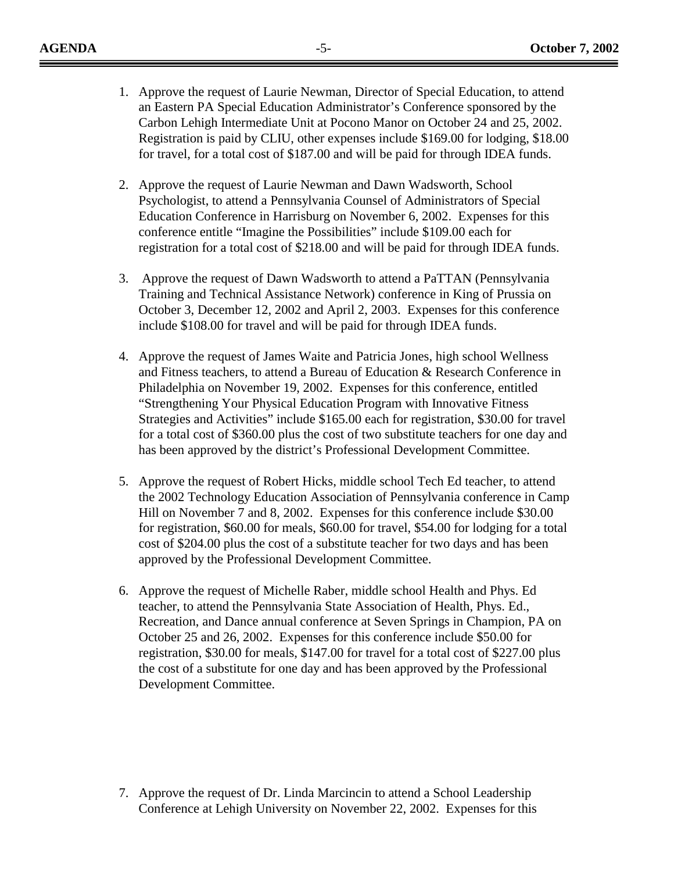- 1. Approve the request of Laurie Newman, Director of Special Education, to attend an Eastern PA Special Education Administrator's Conference sponsored by the Carbon Lehigh Intermediate Unit at Pocono Manor on October 24 and 25, 2002. Registration is paid by CLIU, other expenses include \$169.00 for lodging, \$18.00 for travel, for a total cost of \$187.00 and will be paid for through IDEA funds.
- 2. Approve the request of Laurie Newman and Dawn Wadsworth, School Psychologist, to attend a Pennsylvania Counsel of Administrators of Special Education Conference in Harrisburg on November 6, 2002. Expenses for this conference entitle "Imagine the Possibilities" include \$109.00 each for registration for a total cost of \$218.00 and will be paid for through IDEA funds.
- 3. Approve the request of Dawn Wadsworth to attend a PaTTAN (Pennsylvania Training and Technical Assistance Network) conference in King of Prussia on October 3, December 12, 2002 and April 2, 2003. Expenses for this conference include \$108.00 for travel and will be paid for through IDEA funds.
- 4. Approve the request of James Waite and Patricia Jones, high school Wellness and Fitness teachers, to attend a Bureau of Education & Research Conference in Philadelphia on November 19, 2002. Expenses for this conference, entitled "Strengthening Your Physical Education Program with Innovative Fitness Strategies and Activities" include \$165.00 each for registration, \$30.00 for travel for a total cost of \$360.00 plus the cost of two substitute teachers for one day and has been approved by the district's Professional Development Committee.
- 5. Approve the request of Robert Hicks, middle school Tech Ed teacher, to attend the 2002 Technology Education Association of Pennsylvania conference in Camp Hill on November 7 and 8, 2002. Expenses for this conference include \$30.00 for registration, \$60.00 for meals, \$60.00 for travel, \$54.00 for lodging for a total cost of \$204.00 plus the cost of a substitute teacher for two days and has been approved by the Professional Development Committee.
- 6. Approve the request of Michelle Raber, middle school Health and Phys. Ed teacher, to attend the Pennsylvania State Association of Health, Phys. Ed., Recreation, and Dance annual conference at Seven Springs in Champion, PA on October 25 and 26, 2002. Expenses for this conference include \$50.00 for registration, \$30.00 for meals, \$147.00 for travel for a total cost of \$227.00 plus the cost of a substitute for one day and has been approved by the Professional Development Committee.

7. Approve the request of Dr. Linda Marcincin to attend a School Leadership Conference at Lehigh University on November 22, 2002. Expenses for this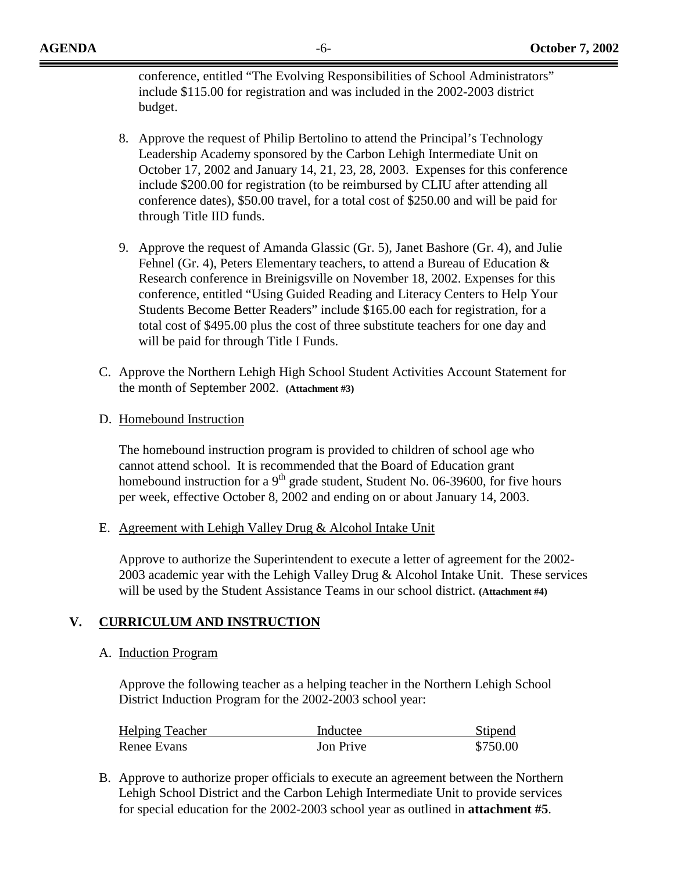conference, entitled "The Evolving Responsibilities of School Administrators" include \$115.00 for registration and was included in the 2002-2003 district budget.

- 8. Approve the request of Philip Bertolino to attend the Principal's Technology Leadership Academy sponsored by the Carbon Lehigh Intermediate Unit on October 17, 2002 and January 14, 21, 23, 28, 2003. Expenses for this conference include \$200.00 for registration (to be reimbursed by CLIU after attending all conference dates), \$50.00 travel, for a total cost of \$250.00 and will be paid for through Title IID funds.
- 9. Approve the request of Amanda Glassic (Gr. 5), Janet Bashore (Gr. 4), and Julie Fehnel (Gr. 4), Peters Elementary teachers, to attend a Bureau of Education & Research conference in Breinigsville on November 18, 2002. Expenses for this conference, entitled "Using Guided Reading and Literacy Centers to Help Your Students Become Better Readers" include \$165.00 each for registration, for a total cost of \$495.00 plus the cost of three substitute teachers for one day and will be paid for through Title I Funds.
- C. Approve the Northern Lehigh High School Student Activities Account Statement for the month of September 2002. **(Attachment #3)**
- D. Homebound Instruction

The homebound instruction program is provided to children of school age who cannot attend school. It is recommended that the Board of Education grant homebound instruction for a  $9<sup>th</sup>$  grade student, Student No. 06-39600, for five hours per week, effective October 8, 2002 and ending on or about January 14, 2003.

E. Agreement with Lehigh Valley Drug & Alcohol Intake Unit

Approve to authorize the Superintendent to execute a letter of agreement for the 2002- 2003 academic year with the Lehigh Valley Drug & Alcohol Intake Unit. These services will be used by the Student Assistance Teams in our school district. **(Attachment #4)**

### **V. CURRICULUM AND INSTRUCTION**

#### A. Induction Program

Approve the following teacher as a helping teacher in the Northern Lehigh School District Induction Program for the 2002-2003 school year:

| <b>Helping Teacher</b> | Inductee  | Stipend  |
|------------------------|-----------|----------|
| Renee Evans            | Jon Prive | \$750.00 |

B. Approve to authorize proper officials to execute an agreement between the Northern Lehigh School District and the Carbon Lehigh Intermediate Unit to provide services for special education for the 2002-2003 school year as outlined in **attachment #5**.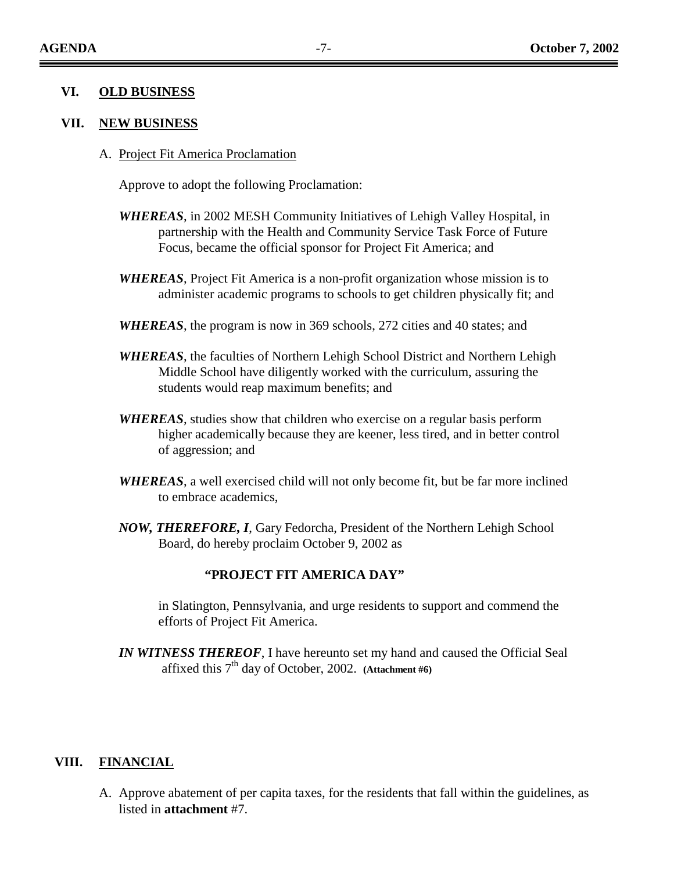#### **VI. OLD BUSINESS**

#### **VII. NEW BUSINESS**

A. Project Fit America Proclamation

Approve to adopt the following Proclamation:

- *WHEREAS*, in 2002 MESH Community Initiatives of Lehigh Valley Hospital, in partnership with the Health and Community Service Task Force of Future Focus, became the official sponsor for Project Fit America; and
- *WHEREAS*, Project Fit America is a non-profit organization whose mission is to administer academic programs to schools to get children physically fit; and
- *WHEREAS*, the program is now in 369 schools, 272 cities and 40 states; and
- *WHEREAS*, the faculties of Northern Lehigh School District and Northern Lehigh Middle School have diligently worked with the curriculum, assuring the students would reap maximum benefits; and
- *WHEREAS*, studies show that children who exercise on a regular basis perform higher academically because they are keener, less tired, and in better control of aggression; and
- *WHEREAS*, a well exercised child will not only become fit, but be far more inclined to embrace academics,
- *NOW, THEREFORE, I*, Gary Fedorcha, President of the Northern Lehigh School Board, do hereby proclaim October 9, 2002 as

#### **"PROJECT FIT AMERICA DAY"**

in Slatington, Pennsylvania, and urge residents to support and commend the efforts of Project Fit America.

*IN WITNESS THEREOF*, I have hereunto set my hand and caused the Official Seal affixed this 7<sup>th</sup> day of October, 2002. (Attachment #6)

#### **VIII. FINANCIAL**

A. Approve abatement of per capita taxes, for the residents that fall within the guidelines, as listed in **attachment** #7.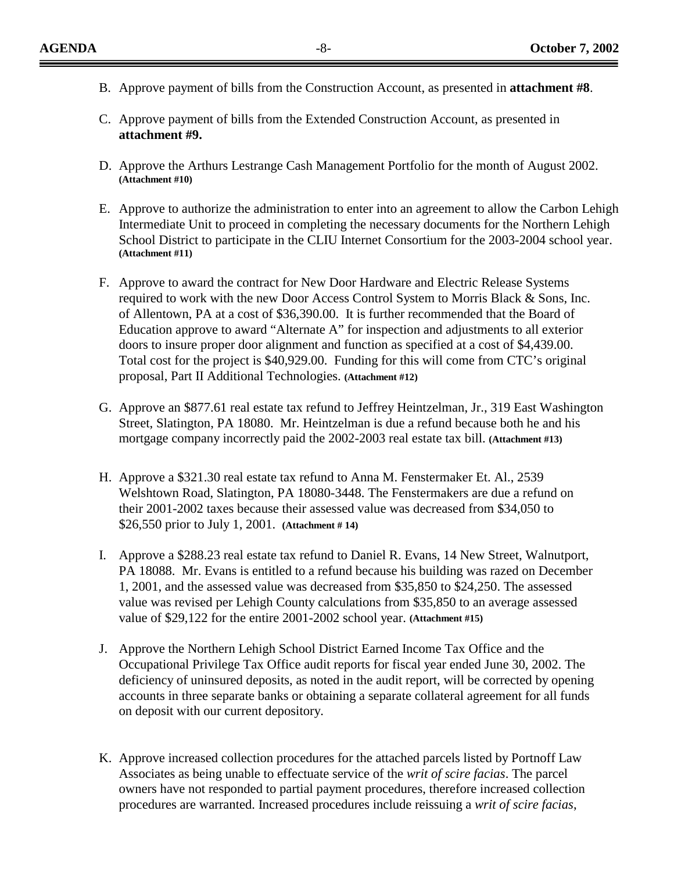- B. Approve payment of bills from the Construction Account, as presented in **attachment #8**.
- C. Approve payment of bills from the Extended Construction Account, as presented in **attachment #9.**
- D. Approve the Arthurs Lestrange Cash Management Portfolio for the month of August 2002. **(Attachment #10)**
- E. Approve to authorize the administration to enter into an agreement to allow the Carbon Lehigh Intermediate Unit to proceed in completing the necessary documents for the Northern Lehigh School District to participate in the CLIU Internet Consortium for the 2003-2004 school year. **(Attachment #11)**
- F. Approve to award the contract for New Door Hardware and Electric Release Systems required to work with the new Door Access Control System to Morris Black & Sons, Inc. of Allentown, PA at a cost of \$36,390.00. It is further recommended that the Board of Education approve to award "Alternate A" for inspection and adjustments to all exterior doors to insure proper door alignment and function as specified at a cost of \$4,439.00. Total cost for the project is \$40,929.00. Funding for this will come from CTC's original proposal, Part II Additional Technologies. **(Attachment #12)**
- G. Approve an \$877.61 real estate tax refund to Jeffrey Heintzelman, Jr., 319 East Washington Street, Slatington, PA 18080. Mr. Heintzelman is due a refund because both he and his mortgage company incorrectly paid the 2002-2003 real estate tax bill. **(Attachment #13)**
- H. Approve a \$321.30 real estate tax refund to Anna M. Fenstermaker Et. Al., 2539 Welshtown Road, Slatington, PA 18080-3448. The Fenstermakers are due a refund on their 2001-2002 taxes because their assessed value was decreased from \$34,050 to \$26,550 prior to July 1, 2001. **(Attachment # 14)**
- I. Approve a \$288.23 real estate tax refund to Daniel R. Evans, 14 New Street, Walnutport, PA 18088. Mr. Evans is entitled to a refund because his building was razed on December 1, 2001, and the assessed value was decreased from \$35,850 to \$24,250. The assessed value was revised per Lehigh County calculations from \$35,850 to an average assessed value of \$29,122 for the entire 2001-2002 school year. **(Attachment #15)**
- J. Approve the Northern Lehigh School District Earned Income Tax Office and the Occupational Privilege Tax Office audit reports for fiscal year ended June 30, 2002. The deficiency of uninsured deposits, as noted in the audit report, will be corrected by opening accounts in three separate banks or obtaining a separate collateral agreement for all funds on deposit with our current depository.
- K. Approve increased collection procedures for the attached parcels listed by Portnoff Law Associates as being unable to effectuate service of the *writ of scire facias*. The parcel owners have not responded to partial payment procedures, therefore increased collection procedures are warranted. Increased procedures include reissuing a *writ of scire facias*,